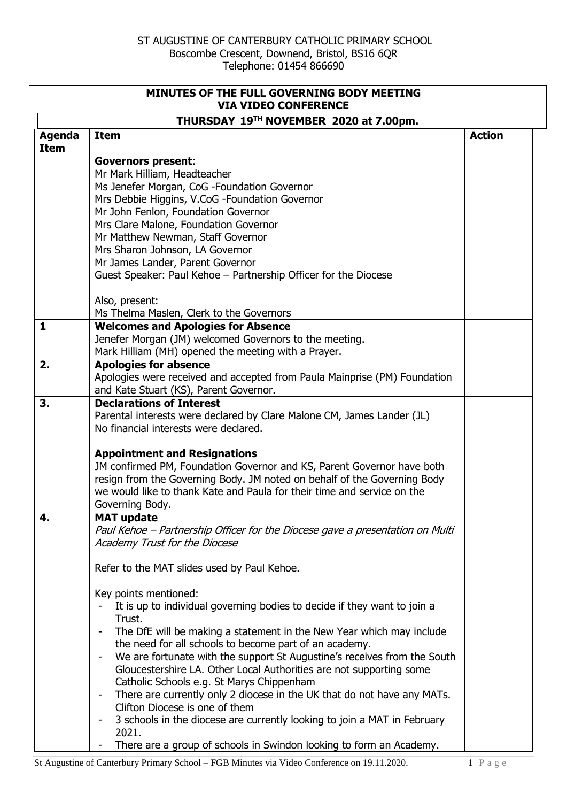| MINUTES OF THE FULL GOVERNING BODY MEETING<br><b>VIA VIDEO CONFERENCE</b> |                                                                                   |               |  |  |
|---------------------------------------------------------------------------|-----------------------------------------------------------------------------------|---------------|--|--|
| THURSDAY 19TH NOVEMBER 2020 at 7.00pm.                                    |                                                                                   |               |  |  |
| <b>Agenda</b><br><b>Item</b>                                              | <b>Item</b>                                                                       | <b>Action</b> |  |  |
|                                                                           | <b>Governors present:</b>                                                         |               |  |  |
|                                                                           | Mr Mark Hilliam, Headteacher                                                      |               |  |  |
|                                                                           | Ms Jenefer Morgan, CoG - Foundation Governor                                      |               |  |  |
|                                                                           | Mrs Debbie Higgins, V.CoG -Foundation Governor                                    |               |  |  |
|                                                                           | Mr John Fenlon, Foundation Governor                                               |               |  |  |
|                                                                           | Mrs Clare Malone, Foundation Governor<br>Mr Matthew Newman, Staff Governor        |               |  |  |
|                                                                           | Mrs Sharon Johnson, LA Governor                                                   |               |  |  |
|                                                                           | Mr James Lander, Parent Governor                                                  |               |  |  |
|                                                                           | Guest Speaker: Paul Kehoe - Partnership Officer for the Diocese                   |               |  |  |
|                                                                           | Also, present:                                                                    |               |  |  |
|                                                                           | Ms Thelma Maslen, Clerk to the Governors                                          |               |  |  |
| $\mathbf{1}$                                                              | <b>Welcomes and Apologies for Absence</b>                                         |               |  |  |
|                                                                           | Jenefer Morgan (JM) welcomed Governors to the meeting.                            |               |  |  |
|                                                                           | Mark Hilliam (MH) opened the meeting with a Prayer.                               |               |  |  |
| 2.                                                                        | <b>Apologies for absence</b>                                                      |               |  |  |
|                                                                           | Apologies were received and accepted from Paula Mainprise (PM) Foundation         |               |  |  |
|                                                                           | and Kate Stuart (KS), Parent Governor.<br><b>Declarations of Interest</b>         |               |  |  |
| 3.                                                                        | Parental interests were declared by Clare Malone CM, James Lander (JL)            |               |  |  |
|                                                                           | No financial interests were declared.                                             |               |  |  |
|                                                                           |                                                                                   |               |  |  |
|                                                                           | <b>Appointment and Resignations</b>                                               |               |  |  |
|                                                                           | JM confirmed PM, Foundation Governor and KS, Parent Governor have both            |               |  |  |
|                                                                           | resign from the Governing Body. JM noted on behalf of the Governing Body          |               |  |  |
|                                                                           | we would like to thank Kate and Paula for their time and service on the           |               |  |  |
|                                                                           | Governing Body.                                                                   |               |  |  |
| 4.                                                                        | <b>MAT</b> update                                                                 |               |  |  |
|                                                                           | Paul Kehoe - Partnership Officer for the Diocese gave a presentation on Multi     |               |  |  |
|                                                                           | Academy Trust for the Diocese                                                     |               |  |  |
|                                                                           | Refer to the MAT slides used by Paul Kehoe.                                       |               |  |  |
|                                                                           | Key points mentioned:                                                             |               |  |  |
|                                                                           | It is up to individual governing bodies to decide if they want to join a          |               |  |  |
|                                                                           | Trust.                                                                            |               |  |  |
|                                                                           | The DfE will be making a statement in the New Year which may include              |               |  |  |
|                                                                           | the need for all schools to become part of an academy.                            |               |  |  |
|                                                                           | We are fortunate with the support St Augustine's receives from the South          |               |  |  |
|                                                                           | Gloucestershire LA. Other Local Authorities are not supporting some               |               |  |  |
|                                                                           | Catholic Schools e.g. St Marys Chippenham                                         |               |  |  |
|                                                                           | There are currently only 2 diocese in the UK that do not have any MATs.           |               |  |  |
|                                                                           | Clifton Diocese is one of them                                                    |               |  |  |
|                                                                           | 3 schools in the diocese are currently looking to join a MAT in February<br>2021. |               |  |  |
|                                                                           | There are a group of schools in Swindon looking to form an Academy.               |               |  |  |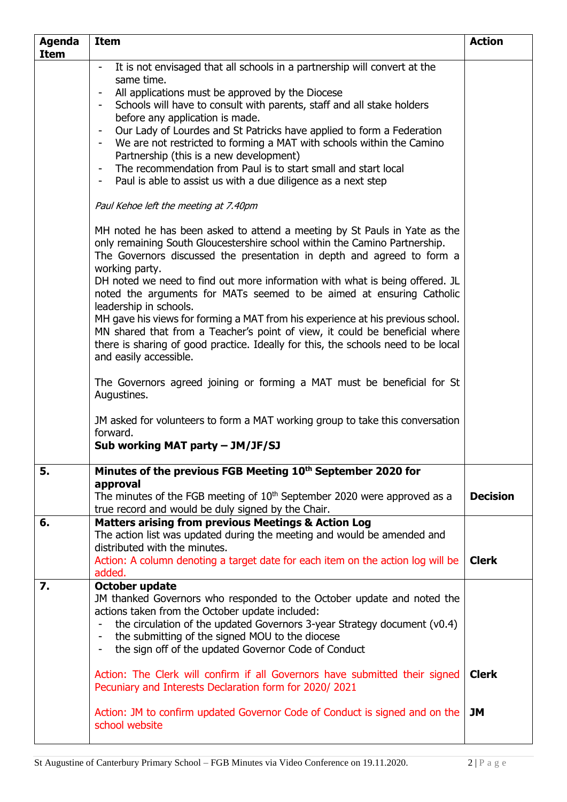| <b>Agenda</b> | <b>Item</b>                                                                                              | <b>Action</b>   |
|---------------|----------------------------------------------------------------------------------------------------------|-----------------|
| <b>Item</b>   |                                                                                                          |                 |
|               | It is not envisaged that all schools in a partnership will convert at the                                |                 |
|               | same time.                                                                                               |                 |
|               | All applications must be approved by the Diocese                                                         |                 |
|               | Schools will have to consult with parents, staff and all stake holders                                   |                 |
|               | before any application is made.<br>Our Lady of Lourdes and St Patricks have applied to form a Federation |                 |
|               | We are not restricted to forming a MAT with schools within the Camino                                    |                 |
|               | Partnership (this is a new development)                                                                  |                 |
|               | The recommendation from Paul is to start small and start local<br>$\blacksquare$                         |                 |
|               | Paul is able to assist us with a due diligence as a next step<br>$\blacksquare$                          |                 |
|               |                                                                                                          |                 |
|               | Paul Kehoe left the meeting at 7.40pm                                                                    |                 |
|               | MH noted he has been asked to attend a meeting by St Pauls in Yate as the                                |                 |
|               | only remaining South Gloucestershire school within the Camino Partnership.                               |                 |
|               | The Governors discussed the presentation in depth and agreed to form a                                   |                 |
|               | working party.                                                                                           |                 |
|               | DH noted we need to find out more information with what is being offered. JL                             |                 |
|               | noted the arguments for MATs seemed to be aimed at ensuring Catholic                                     |                 |
|               | leadership in schools.                                                                                   |                 |
|               | MH gave his views for forming a MAT from his experience at his previous school.                          |                 |
|               | MN shared that from a Teacher's point of view, it could be beneficial where                              |                 |
|               | there is sharing of good practice. Ideally for this, the schools need to be local                        |                 |
|               | and easily accessible.                                                                                   |                 |
|               | The Governors agreed joining or forming a MAT must be beneficial for St                                  |                 |
|               | Augustines.                                                                                              |                 |
|               |                                                                                                          |                 |
|               | JM asked for volunteers to form a MAT working group to take this conversation                            |                 |
|               | forward.                                                                                                 |                 |
|               | Sub working MAT party - JM/JF/SJ                                                                         |                 |
|               |                                                                                                          |                 |
| 5.            | Minutes of the previous FGB Meeting 10 <sup>th</sup> September 2020 for                                  |                 |
|               | approval                                                                                                 |                 |
|               | The minutes of the FGB meeting of $10th$ September 2020 were approved as a                               | <b>Decision</b> |
|               | true record and would be duly signed by the Chair.                                                       |                 |
| 6.            | <b>Matters arising from previous Meetings &amp; Action Log</b>                                           |                 |
|               | The action list was updated during the meeting and would be amended and                                  |                 |
|               | distributed with the minutes.                                                                            |                 |
|               | Action: A column denoting a target date for each item on the action log will be<br>added.                | <b>Clerk</b>    |
| 7.            | October update                                                                                           |                 |
|               | JM thanked Governors who responded to the October update and noted the                                   |                 |
|               | actions taken from the October update included:                                                          |                 |
|               | the circulation of the updated Governors 3-year Strategy document (v0.4)                                 |                 |
|               | the submitting of the signed MOU to the diocese<br>$\blacksquare$                                        |                 |
|               | the sign off of the updated Governor Code of Conduct<br>$\qquad \qquad \blacksquare$                     |                 |
|               |                                                                                                          |                 |
|               | Action: The Clerk will confirm if all Governors have submitted their signed                              | <b>Clerk</b>    |
|               | Pecuniary and Interests Declaration form for 2020/2021                                                   |                 |
|               |                                                                                                          |                 |
|               | Action: JM to confirm updated Governor Code of Conduct is signed and on the                              | JM              |
|               | school website                                                                                           |                 |
|               |                                                                                                          |                 |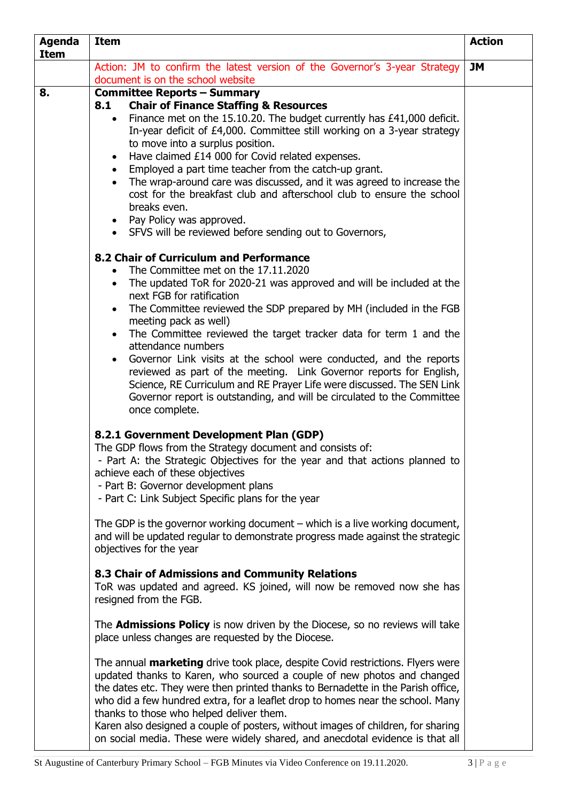| <b>Agenda</b><br><b>Item</b> | <b>Item</b>                                                                                                                                                                                                                                                                                                                                                                                                                                                                                                                                                                                                                                                                                                                 | <b>Action</b> |
|------------------------------|-----------------------------------------------------------------------------------------------------------------------------------------------------------------------------------------------------------------------------------------------------------------------------------------------------------------------------------------------------------------------------------------------------------------------------------------------------------------------------------------------------------------------------------------------------------------------------------------------------------------------------------------------------------------------------------------------------------------------------|---------------|
|                              | Action: JM to confirm the latest version of the Governor's 3-year Strategy<br>document is on the school website                                                                                                                                                                                                                                                                                                                                                                                                                                                                                                                                                                                                             | <b>JM</b>     |
| 8.                           | <b>Committee Reports - Summary</b><br><b>Chair of Finance Staffing &amp; Resources</b><br>8.1<br>Finance met on the 15.10.20. The budget currently has £41,000 deficit.<br>$\bullet$<br>In-year deficit of £4,000. Committee still working on a 3-year strategy<br>to move into a surplus position.<br>Have claimed £14 000 for Covid related expenses.<br>$\bullet$<br>Employed a part time teacher from the catch-up grant.<br>$\bullet$<br>The wrap-around care was discussed, and it was agreed to increase the<br>cost for the breakfast club and afterschool club to ensure the school<br>breaks even.<br>• Pay Policy was approved.<br>• SFVS will be reviewed before sending out to Governors,                      |               |
|                              | 8.2 Chair of Curriculum and Performance<br>The Committee met on the 17.11.2020<br>The updated ToR for 2020-21 was approved and will be included at the<br>$\bullet$<br>next FGB for ratification<br>The Committee reviewed the SDP prepared by MH (included in the FGB<br>meeting pack as well)<br>The Committee reviewed the target tracker data for term 1 and the<br>$\bullet$<br>attendance numbers<br>Governor Link visits at the school were conducted, and the reports<br>reviewed as part of the meeting. Link Governor reports for English,<br>Science, RE Curriculum and RE Prayer Life were discussed. The SEN Link<br>Governor report is outstanding, and will be circulated to the Committee<br>once complete. |               |
|                              | 8.2.1 Government Development Plan (GDP)<br>The GDP flows from the Strategy document and consists of:<br>- Part A: the Strategic Objectives for the year and that actions planned to<br>achieve each of these objectives<br>- Part B: Governor development plans<br>- Part C: Link Subject Specific plans for the year                                                                                                                                                                                                                                                                                                                                                                                                       |               |
|                              | The GDP is the governor working document $-$ which is a live working document,<br>and will be updated regular to demonstrate progress made against the strategic<br>objectives for the year<br>8.3 Chair of Admissions and Community Relations<br>ToR was updated and agreed. KS joined, will now be removed now she has                                                                                                                                                                                                                                                                                                                                                                                                    |               |
|                              | resigned from the FGB.<br>The <b>Admissions Policy</b> is now driven by the Diocese, so no reviews will take<br>place unless changes are requested by the Diocese.                                                                                                                                                                                                                                                                                                                                                                                                                                                                                                                                                          |               |
|                              | The annual <b>marketing</b> drive took place, despite Covid restrictions. Flyers were<br>updated thanks to Karen, who sourced a couple of new photos and changed<br>the dates etc. They were then printed thanks to Bernadette in the Parish office,<br>who did a few hundred extra, for a leaflet drop to homes near the school. Many<br>thanks to those who helped deliver them.<br>Karen also designed a couple of posters, without images of children, for sharing<br>on social media. These were widely shared, and anecdotal evidence is that all                                                                                                                                                                     |               |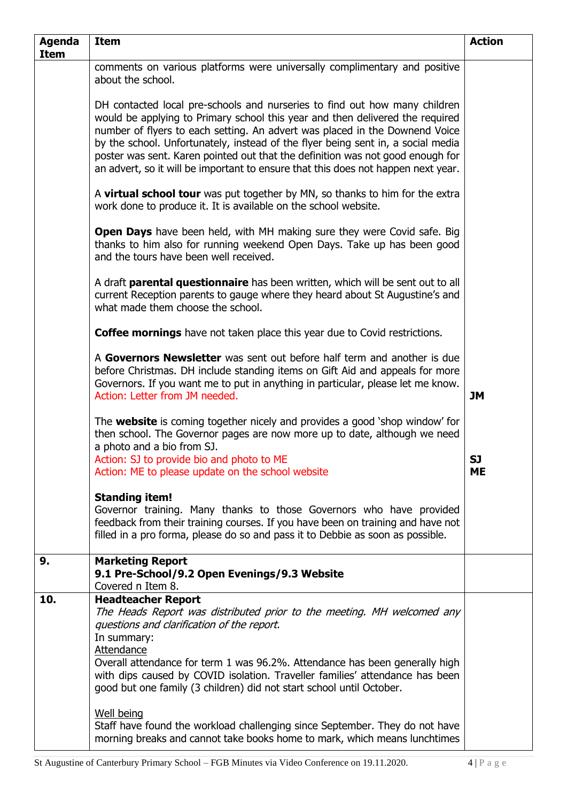| <b>Agenda</b><br><b>Item</b> | <b>Item</b>                                                                                                                                                                                                                                                                                                                                                                                                                                                                                                                                                                                            | <b>Action</b>          |
|------------------------------|--------------------------------------------------------------------------------------------------------------------------------------------------------------------------------------------------------------------------------------------------------------------------------------------------------------------------------------------------------------------------------------------------------------------------------------------------------------------------------------------------------------------------------------------------------------------------------------------------------|------------------------|
|                              | comments on various platforms were universally complimentary and positive<br>about the school.                                                                                                                                                                                                                                                                                                                                                                                                                                                                                                         |                        |
|                              | DH contacted local pre-schools and nurseries to find out how many children<br>would be applying to Primary school this year and then delivered the required<br>number of flyers to each setting. An advert was placed in the Downend Voice<br>by the school. Unfortunately, instead of the flyer being sent in, a social media<br>poster was sent. Karen pointed out that the definition was not good enough for<br>an advert, so it will be important to ensure that this does not happen next year.                                                                                                  |                        |
|                              | A virtual school tour was put together by MN, so thanks to him for the extra<br>work done to produce it. It is available on the school website.                                                                                                                                                                                                                                                                                                                                                                                                                                                        |                        |
|                              | <b>Open Days</b> have been held, with MH making sure they were Covid safe. Big<br>thanks to him also for running weekend Open Days. Take up has been good<br>and the tours have been well received.                                                                                                                                                                                                                                                                                                                                                                                                    |                        |
|                              | A draft parental questionnaire has been written, which will be sent out to all<br>current Reception parents to gauge where they heard about St Augustine's and<br>what made them choose the school.                                                                                                                                                                                                                                                                                                                                                                                                    |                        |
|                              | Coffee mornings have not taken place this year due to Covid restrictions.                                                                                                                                                                                                                                                                                                                                                                                                                                                                                                                              |                        |
|                              | A Governors Newsletter was sent out before half term and another is due<br>before Christmas. DH include standing items on Gift Aid and appeals for more<br>Governors. If you want me to put in anything in particular, please let me know.<br>Action: Letter from JM needed.                                                                                                                                                                                                                                                                                                                           | JM                     |
|                              | The website is coming together nicely and provides a good 'shop window' for<br>then school. The Governor pages are now more up to date, although we need<br>a photo and a bio from SJ.<br>Action: SJ to provide bio and photo to ME<br>Action: ME to please update on the school website                                                                                                                                                                                                                                                                                                               | <b>SJ</b><br><b>ME</b> |
|                              | <b>Standing item!</b><br>Governor training. Many thanks to those Governors who have provided<br>feedback from their training courses. If you have been on training and have not<br>filled in a pro forma, please do so and pass it to Debbie as soon as possible.                                                                                                                                                                                                                                                                                                                                      |                        |
| 9.                           | <b>Marketing Report</b><br>9.1 Pre-School/9.2 Open Evenings/9.3 Website<br>Covered n Item 8.                                                                                                                                                                                                                                                                                                                                                                                                                                                                                                           |                        |
| 10.                          | <b>Headteacher Report</b><br>The Heads Report was distributed prior to the meeting. MH welcomed any<br>questions and clarification of the report.<br>In summary:<br>Attendance<br>Overall attendance for term 1 was 96.2%. Attendance has been generally high<br>with dips caused by COVID isolation. Traveller families' attendance has been<br>good but one family (3 children) did not start school until October.<br><b>Well being</b><br>Staff have found the workload challenging since September. They do not have<br>morning breaks and cannot take books home to mark, which means lunchtimes |                        |